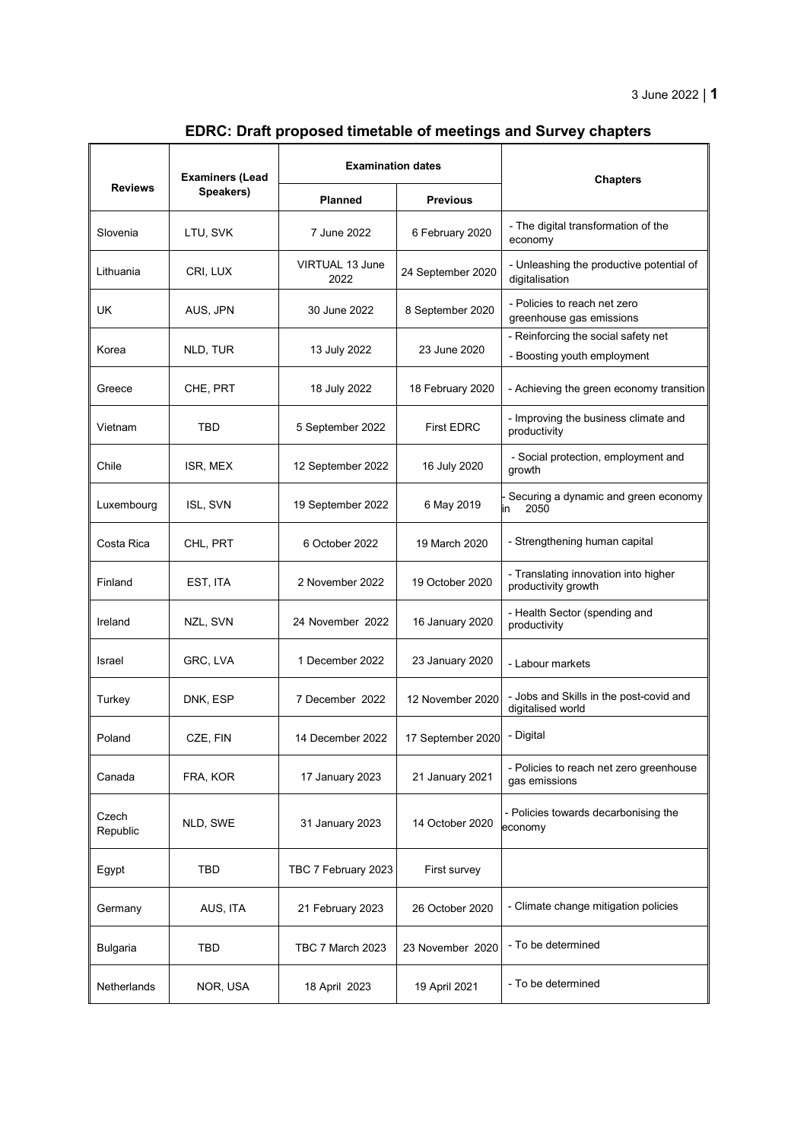## **EDRC: Draft proposed timetable of meetings and Survey chapters**

|                   | <b>Examiners (Lead</b><br>Speakers) | <b>Examination dates</b> |                   | <b>Chapters</b>                                                    |
|-------------------|-------------------------------------|--------------------------|-------------------|--------------------------------------------------------------------|
| <b>Reviews</b>    |                                     | <b>Planned</b>           | <b>Previous</b>   |                                                                    |
| Slovenia          | LTU, SVK                            | 7 June 2022              | 6 February 2020   | - The digital transformation of the<br>economy                     |
| Lithuania         | CRI, LUX                            | VIRTUAL 13 June<br>2022  | 24 September 2020 | - Unleashing the productive potential of<br>digitalisation         |
| UK.               | AUS, JPN                            | 30 June 2022             | 8 September 2020  | - Policies to reach net zero<br>greenhouse gas emissions           |
| Korea             | NLD, TUR                            | 13 July 2022             | 23 June 2020      | - Reinforcing the social safety net<br>- Boosting youth employment |
| Greece            | CHE, PRT                            | 18 July 2022             | 18 February 2020  | - Achieving the green economy transition                           |
| Vietnam           | TBD                                 | 5 September 2022         | <b>First EDRC</b> | - Improving the business climate and<br>productivity               |
| Chile             | ISR, MEX                            | 12 September 2022        | 16 July 2020      | - Social protection, employment and<br>growth                      |
| Luxembourg        | ISL, SVN                            | 19 September 2022        | 6 May 2019        | Securing a dynamic and green economy<br>2050<br>in                 |
| Costa Rica        | CHL, PRT                            | 6 October 2022           | 19 March 2020     | - Strengthening human capital                                      |
| Finland           | EST, ITA                            | 2 November 2022          | 19 October 2020   | - Translating innovation into higher<br>productivity growth        |
| Ireland           | NZL, SVN                            | 24 November 2022         | 16 January 2020   | - Health Sector (spending and<br>productivity                      |
| Israel            | GRC, LVA                            | 1 December 2022          | 23 January 2020   | - Labour markets                                                   |
| Turkey            | DNK, ESP                            | 7 December 2022          | 12 November 2020  | - Jobs and Skills in the post-covid and<br>digitalised world       |
| Poland            | CZE, FIN                            | 14 December 2022         | 17 September 2020 | - Digital                                                          |
| Canada            | FRA, KOR                            | 17 January 2023          | 21 January 2021   | - Policies to reach net zero greenhouse<br>gas emissions           |
| Czech<br>Republic | NLD, SWE                            | 31 January 2023          | 14 October 2020   | - Policies towards decarbonising the<br>economy                    |
| Egypt             | TBD                                 | TBC 7 February 2023      | First survey      |                                                                    |
| Germany           | AUS, ITA                            | 21 February 2023         | 26 October 2020   | - Climate change mitigation policies                               |
| <b>Bulgaria</b>   | TBD                                 | TBC 7 March 2023         | 23 November 2020  | - To be determined                                                 |
| Netherlands       | NOR, USA                            | 18 April 2023            | 19 April 2021     | - To be determined                                                 |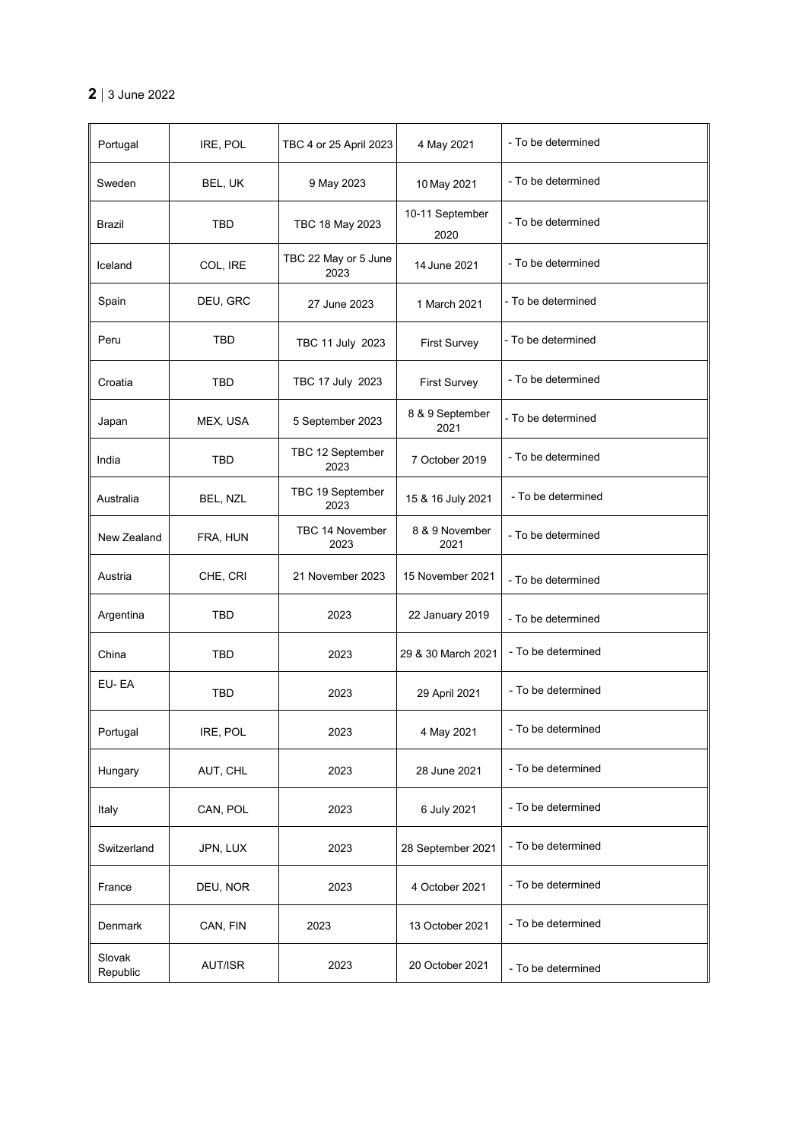## **2** | 3 June 2022

| Portugal           | IRE, POL   | TBC 4 or 25 April 2023       | 4 May 2021              | - To be determined |
|--------------------|------------|------------------------------|-------------------------|--------------------|
| Sweden             | BEL, UK    | 9 May 2023                   | 10 May 2021             | - To be determined |
| Brazil             | TBD        | TBC 18 May 2023              | 10-11 September<br>2020 | - To be determined |
| Iceland            | COL, IRE   | TBC 22 May or 5 June<br>2023 | 14 June 2021            | - To be determined |
| Spain              | DEU, GRC   | 27 June 2023                 | 1 March 2021            | - To be determined |
| Peru               | TBD        | TBC 11 July 2023             | <b>First Survey</b>     | - To be determined |
| Croatia            | TBD        | TBC 17 July 2023             | <b>First Survey</b>     | - To be determined |
| Japan              | MEX, USA   | 5 September 2023             | 8 & 9 September<br>2021 | - To be determined |
| India              | <b>TBD</b> | TBC 12 September<br>2023     | 7 October 2019          | - To be determined |
| Australia          | BEL, NZL   | TBC 19 September<br>2023     | 15 & 16 July 2021       | - To be determined |
| New Zealand        | FRA, HUN   | TBC 14 November<br>2023      | 8 & 9 November<br>2021  | - To be determined |
| Austria            | CHE, CRI   | 21 November 2023             | 15 November 2021        | - To be determined |
| Argentina          | TBD        | 2023                         | 22 January 2019         | - To be determined |
| China              | TBD        | 2023                         | 29 & 30 March 2021      | - To be determined |
| EU-EA              | TBD        | 2023                         | 29 April 2021           | - To be determined |
| Portugal           | IRE, POL   | 2023                         | 4 May 2021              | - To be determined |
| Hungary            | AUT, CHL   | 2023                         | 28 June 2021            | - To be determined |
| Italy              | CAN, POL   | 2023                         | 6 July 2021             | - To be determined |
| Switzerland        | JPN, LUX   | 2023                         | 28 September 2021       | - To be determined |
| France             | DEU, NOR   | 2023                         | 4 October 2021          | - To be determined |
| Denmark            | CAN, FIN   | 2023                         | 13 October 2021         | - To be determined |
| Slovak<br>Republic | AUT/ISR    | 2023                         | 20 October 2021         | - To be determined |